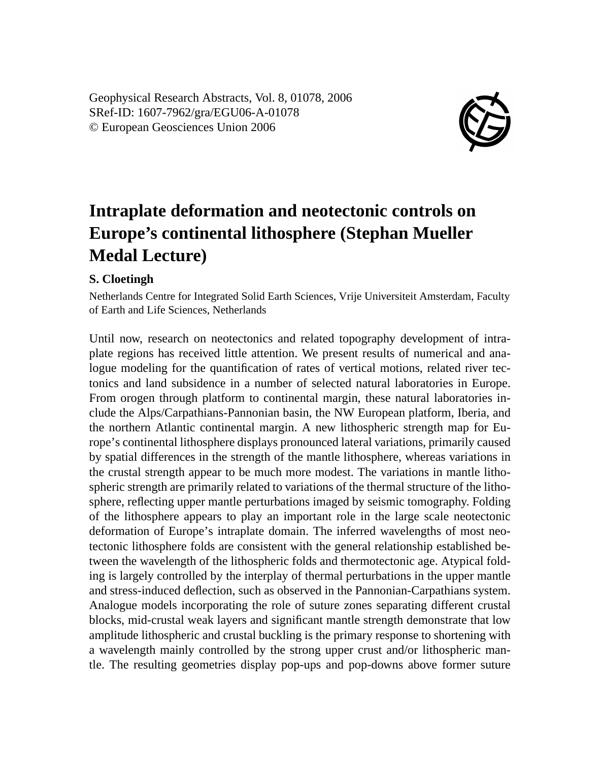Geophysical Research Abstracts, Vol. 8, 01078, 2006 SRef-ID: 1607-7962/gra/EGU06-A-01078 © European Geosciences Union 2006



## **Intraplate deformation and neotectonic controls on Europe's continental lithosphere (Stephan Mueller Medal Lecture)**

## **S. Cloetingh**

Netherlands Centre for Integrated Solid Earth Sciences, Vrije Universiteit Amsterdam, Faculty of Earth and Life Sciences, Netherlands

Until now, research on neotectonics and related topography development of intraplate regions has received little attention. We present results of numerical and analogue modeling for the quantification of rates of vertical motions, related river tectonics and land subsidence in a number of selected natural laboratories in Europe. From orogen through platform to continental margin, these natural laboratories include the Alps/Carpathians-Pannonian basin, the NW European platform, Iberia, and the northern Atlantic continental margin. A new lithospheric strength map for Europe's continental lithosphere displays pronounced lateral variations, primarily caused by spatial differences in the strength of the mantle lithosphere, whereas variations in the crustal strength appear to be much more modest. The variations in mantle lithospheric strength are primarily related to variations of the thermal structure of the lithosphere, reflecting upper mantle perturbations imaged by seismic tomography. Folding of the lithosphere appears to play an important role in the large scale neotectonic deformation of Europe's intraplate domain. The inferred wavelengths of most neotectonic lithosphere folds are consistent with the general relationship established between the wavelength of the lithospheric folds and thermotectonic age. Atypical folding is largely controlled by the interplay of thermal perturbations in the upper mantle and stress-induced deflection, such as observed in the Pannonian-Carpathians system. Analogue models incorporating the role of suture zones separating different crustal blocks, mid-crustal weak layers and significant mantle strength demonstrate that low amplitude lithospheric and crustal buckling is the primary response to shortening with a wavelength mainly controlled by the strong upper crust and/or lithospheric mantle. The resulting geometries display pop-ups and pop-downs above former suture